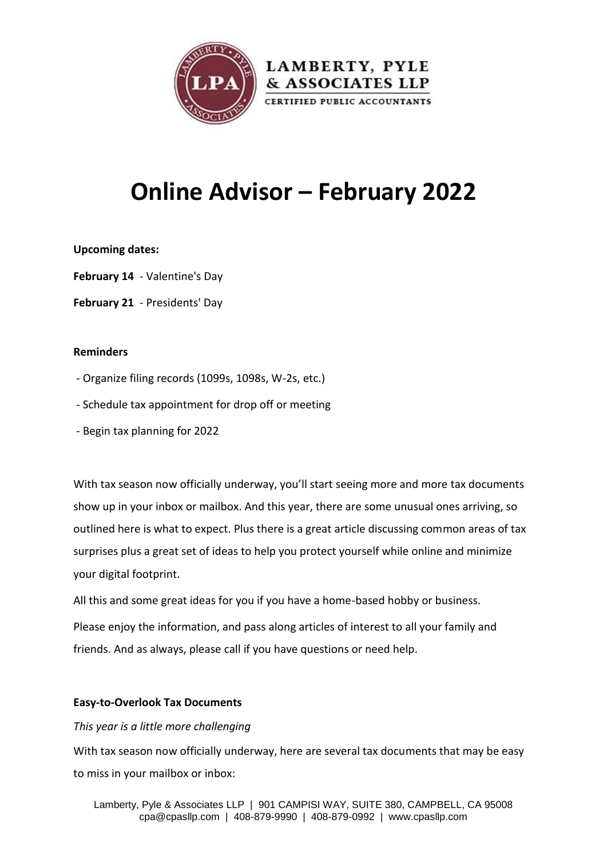

# **Online Advisor – February 2022**

## **Upcoming dates:**

- **February 14** Valentine's Day
- **February 21** Presidents' Day

## **Reminders**

- Organize filing records (1099s, 1098s, W-2s, etc.)
- Schedule tax appointment for drop off or meeting
- Begin tax planning for 2022

With tax season now officially underway, you'll start seeing more and more tax documents show up in your inbox or mailbox. And this year, there are some unusual ones arriving, so outlined here is what to expect. Plus there is a great article discussing common areas of tax surprises plus a great set of ideas to help you protect yourself while online and minimize your digital footprint.

All this and some great ideas for you if you have a home-based hobby or business.

Please enjoy the information, and pass along articles of interest to all your family and friends. And as always, please call if you have questions or need help.

## **Easy-to-Overlook Tax Documents**

## *This year is a little more challenging*

With tax season now officially underway, here are several tax documents that may be easy to miss in your mailbox or inbox: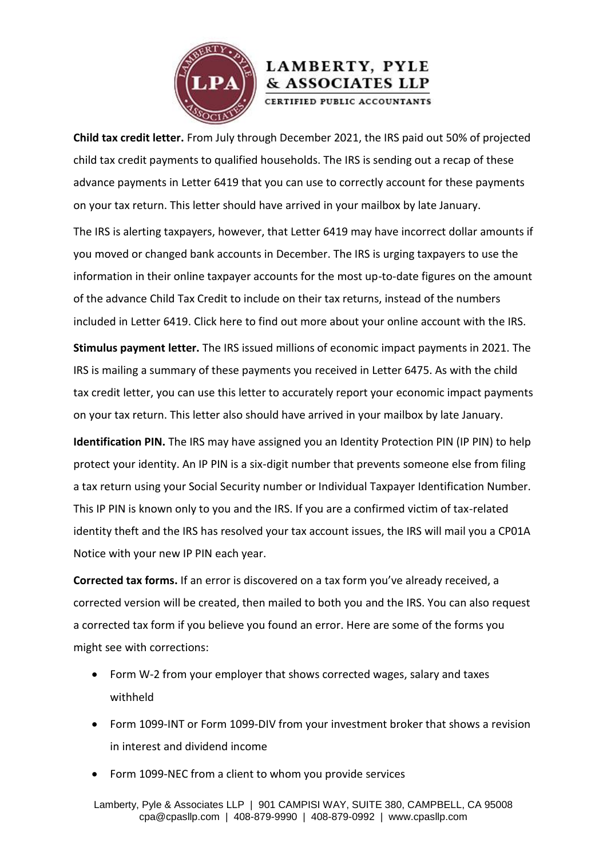

**Child tax credit letter.** From July through December 2021, the IRS paid out 50% of projected child tax credit payments to qualified households. The IRS is sending out a recap of these advance payments in Letter 6419 that you can use to correctly account for these payments on your tax return. This letter should have arrived in your mailbox by late January.

The IRS is alerting taxpayers, however, that Letter 6419 may have incorrect dollar amounts if you moved or changed bank accounts in December. The IRS is urging taxpayers to use the information in their online taxpayer accounts for the most up-to-date figures on the amount of the advance Child Tax Credit to include on their tax returns, instead of the numbers included in Letter 6419. [Click here](https://www.irs.gov/payments/your-online-account) to find out more about your online account with the IRS.

**Stimulus payment letter.** The IRS issued millions of economic impact payments in 2021. The IRS is mailing a summary of these payments you received in Letter 6475. As with the child tax credit letter, you can use this letter to accurately report your economic impact payments on your tax return. This letter also should have arrived in your mailbox by late January.

**Identification PIN.** The IRS may have assigned you an Identity Protection PIN (IP PIN) to help protect your identity. An IP PIN is a six-digit number that prevents someone else from filing a tax return using your Social Security number or Individual Taxpayer Identification Number. This IP PIN is known only to you and the IRS. If you are a confirmed victim of tax-related identity theft and the IRS has resolved your tax account issues, the IRS will mail you a CP01A Notice with your new IP PIN each year.

**Corrected tax forms.** If an error is discovered on a tax form you've already received, a corrected version will be created, then mailed to both you and the IRS. You can also request a corrected tax form if you believe you found an error. Here are some of the forms you might see with corrections:

- Form W-2 from your employer that shows corrected wages, salary and taxes withheld
- Form 1099-INT or Form 1099-DIV from your investment broker that shows a revision in interest and dividend income
- Form 1099-NEC from a client to whom you provide services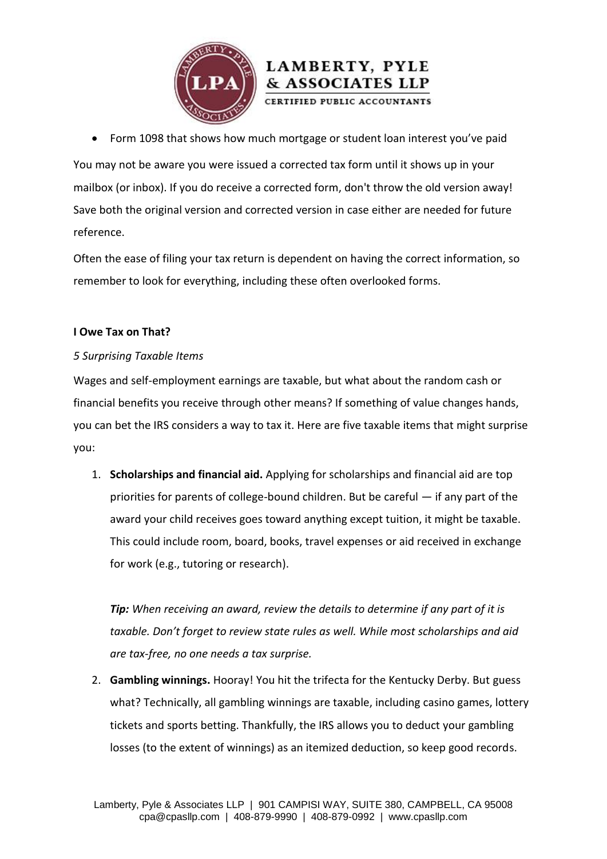

Form 1098 that shows how much mortgage or student loan interest you've paid

& ASSOCIATES LLP

You may not be aware you were issued a corrected tax form until it shows up in your mailbox (or inbox). If you do receive a corrected form, don't throw the old version away! Save both the original version and corrected version in case either are needed for future reference.

Often the ease of filing your tax return is dependent on having the correct information, so remember to look for everything, including these often overlooked forms.

## **I Owe Tax on That?**

## *5 Surprising Taxable Items*

Wages and self-employment earnings are taxable, but what about the random cash or financial benefits you receive through other means? If something of value changes hands, you can bet the IRS considers a way to tax it. Here are five taxable items that might surprise you:

1. **Scholarships and financial aid.** Applying for scholarships and financial aid are top priorities for parents of college-bound children. But be careful — if any part of the award your child receives goes toward anything except tuition, it might be taxable. This could include room, board, books, travel expenses or aid received in exchange for work (e.g., tutoring or research).

*Tip: When receiving an award, review the details to determine if any part of it is taxable. Don't forget to review state rules as well. While most scholarships and aid are tax-free, no one needs a tax surprise.*

2. **Gambling winnings.** Hooray! You hit the trifecta for the Kentucky Derby. But guess what? Technically, all gambling winnings are taxable, including casino games, lottery tickets and sports betting. Thankfully, the IRS allows you to deduct your gambling losses (to the extent of winnings) as an itemized deduction, so keep good records.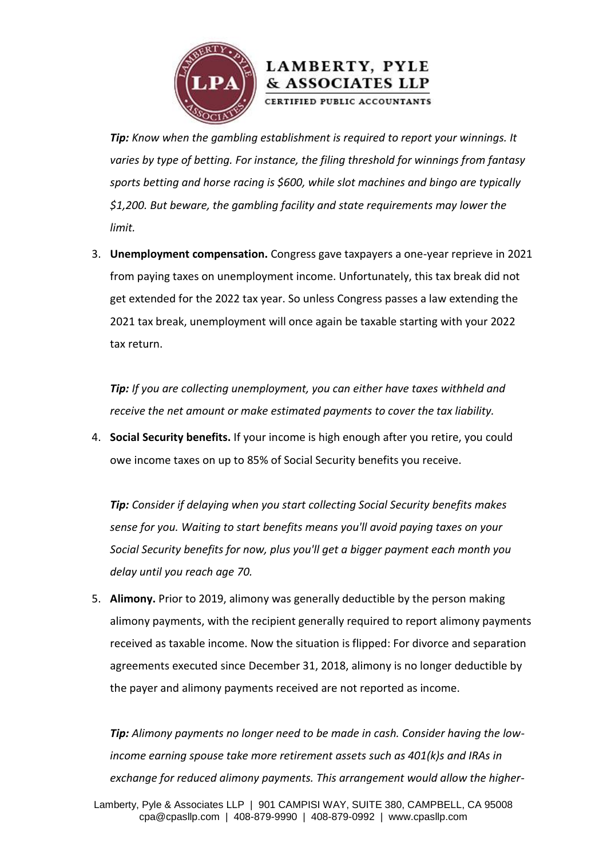

*Tip: Know when the gambling establishment is required to report your winnings. It varies by type of betting. For instance, the filing threshold for winnings from fantasy sports betting and horse racing is \$600, while slot machines and bingo are typically \$1,200. But beware, the gambling facility and state requirements may lower the limit.*

3. **Unemployment compensation.** Congress gave taxpayers a one-year reprieve in 2021 from paying taxes on unemployment income. Unfortunately, this tax break did not get extended for the 2022 tax year. So unless Congress passes a law extending the 2021 tax break, unemployment will once again be taxable starting with your 2022 tax return.

*Tip: If you are collecting unemployment, you can either have taxes withheld and receive the net amount or make estimated payments to cover the tax liability.*

4. **Social Security benefits.** If your income is high enough after you retire, you could owe income taxes on up to 85% of Social Security benefits you receive.

*Tip: Consider if delaying when you start collecting Social Security benefits makes sense for you. Waiting to start benefits means you'll avoid paying taxes on your Social Security benefits for now, plus you'll get a bigger payment each month you delay until you reach age 70.*

5. **Alimony.** Prior to 2019, alimony was generally deductible by the person making alimony payments, with the recipient generally required to report alimony payments received as taxable income. Now the situation is flipped: For divorce and separation agreements executed since December 31, 2018, alimony is no longer deductible by the payer and alimony payments received are not reported as income.

*Tip: Alimony payments no longer need to be made in cash. Consider having the lowincome earning spouse take more retirement assets such as 401(k)s and IRAs in exchange for reduced alimony payments. This arrangement would allow the higher-*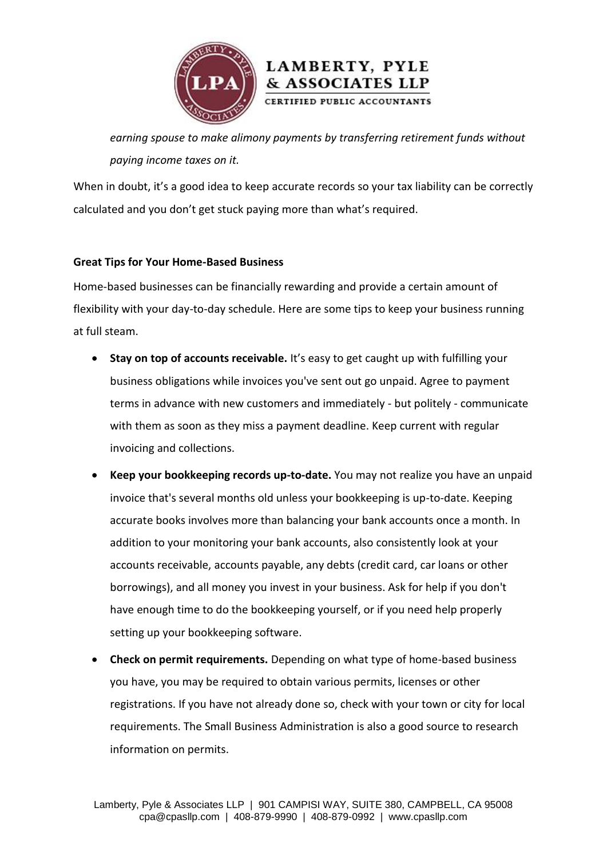

*earning spouse to make alimony payments by transferring retirement funds without paying income taxes on it.*

When in doubt, it's a good idea to keep accurate records so your tax liability can be correctly calculated and you don't get stuck paying more than what's required.

## **Great Tips for Your Home-Based Business**

Home-based businesses can be financially rewarding and provide a certain amount of flexibility with your day-to-day schedule. Here are some tips to keep your business running at full steam.

- **Stay on top of accounts receivable.** It's easy to get caught up with fulfilling your business obligations while invoices you've sent out go unpaid. Agree to payment terms in advance with new customers and immediately - but politely - communicate with them as soon as they miss a payment deadline. Keep current with regular invoicing and collections.
- **Keep your bookkeeping records up-to-date.** You may not realize you have an unpaid invoice that's several months old unless your bookkeeping is up-to-date. Keeping accurate books involves more than balancing your bank accounts once a month. In addition to your monitoring your bank accounts, also consistently look at your accounts receivable, accounts payable, any debts (credit card, car loans or other borrowings), and all money you invest in your business. Ask for help if you don't have enough time to do the bookkeeping yourself, or if you need help properly setting up your bookkeeping software.
- **Check on permit requirements.** Depending on what type of home-based business you have, you may be required to obtain various permits, licenses or other registrations. If you have not already done so, check with your town or city for local requirements. The Small Business Administration is also a good source to research information on permits.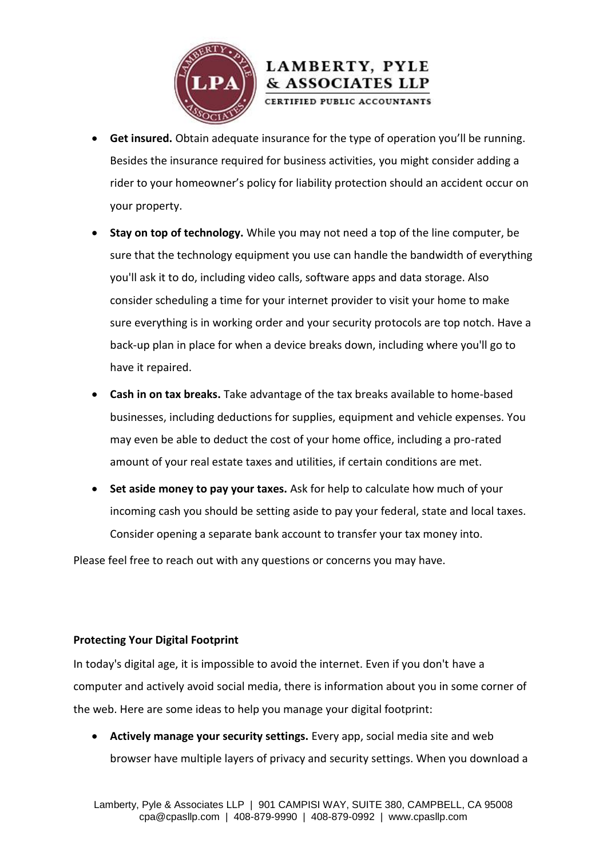

- **Get insured.** Obtain adequate insurance for the type of operation you'll be running. Besides the insurance required for business activities, you might consider adding a rider to your homeowner's policy for liability protection should an accident occur on your property.
- **Stay on top of technology.** While you may not need a top of the line computer, be sure that the technology equipment you use can handle the bandwidth of everything you'll ask it to do, including video calls, software apps and data storage. Also consider scheduling a time for your internet provider to visit your home to make sure everything is in working order and your security protocols are top notch. Have a back-up plan in place for when a device breaks down, including where you'll go to have it repaired.
- **Cash in on tax breaks.** Take advantage of the tax breaks available to home-based businesses, including deductions for supplies, equipment and vehicle expenses. You may even be able to deduct the cost of your home office, including a pro-rated amount of your real estate taxes and utilities, if certain conditions are met.
- **Set aside money to pay your taxes.** Ask for help to calculate how much of your incoming cash you should be setting aside to pay your federal, state and local taxes. Consider opening a separate bank account to transfer your tax money into.

Please feel free to reach out with any questions or concerns you may have.

## **Protecting Your Digital Footprint**

In today's digital age, it is impossible to avoid the internet. Even if you don't have a computer and actively avoid social media, there is information about you in some corner of the web. Here are some ideas to help you manage your digital footprint:

**• Actively manage your security settings.** Every app, social media site and web browser have multiple layers of privacy and security settings. When you download a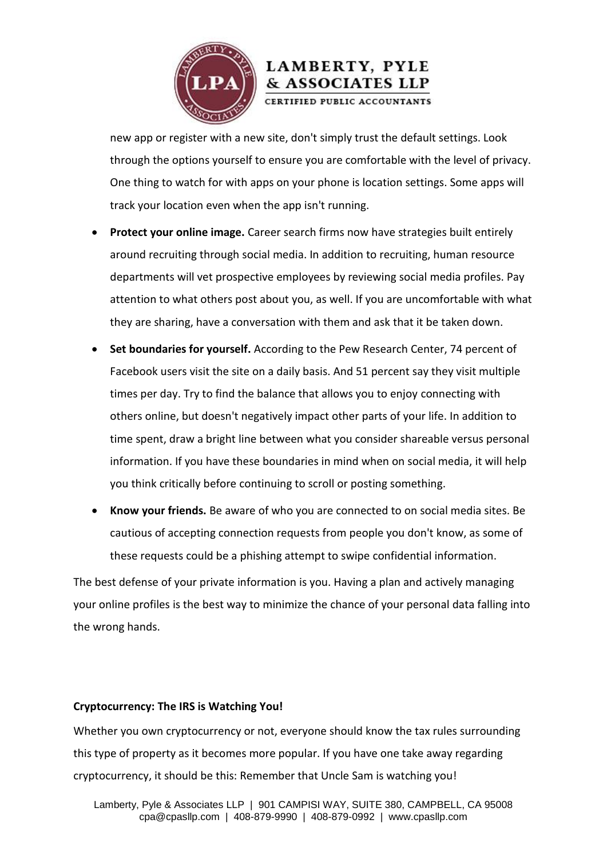

new app or register with a new site, don't simply trust the default settings. Look through the options yourself to ensure you are comfortable with the level of privacy. One thing to watch for with apps on your phone is location settings. Some apps will track your location even when the app isn't running.

- **Protect your online image.** Career search firms now have strategies built entirely around recruiting through social media. In addition to recruiting, human resource departments will vet prospective employees by reviewing social media profiles. Pay attention to what others post about you, as well. If you are uncomfortable with what they are sharing, have a conversation with them and ask that it be taken down.
- **Set boundaries for yourself.** According to the Pew Research Center, 74 percent of Facebook users visit the site on a daily basis. And 51 percent say they visit multiple times per day. Try to find the balance that allows you to enjoy connecting with others online, but doesn't negatively impact other parts of your life. In addition to time spent, draw a bright line between what you consider shareable versus personal information. If you have these boundaries in mind when on social media, it will help you think critically before continuing to scroll or posting something.
- **Know your friends.** Be aware of who you are connected to on social media sites. Be cautious of accepting connection requests from people you don't know, as some of these requests could be a phishing attempt to swipe confidential information.

The best defense of your private information is you. Having a plan and actively managing your online profiles is the best way to minimize the chance of your personal data falling into the wrong hands.

## **Cryptocurrency: The IRS is Watching You!**

Whether you own cryptocurrency or not, everyone should know the tax rules surrounding this type of property as it becomes more popular. If you have one take away regarding cryptocurrency, it should be this: Remember that Uncle Sam is watching you!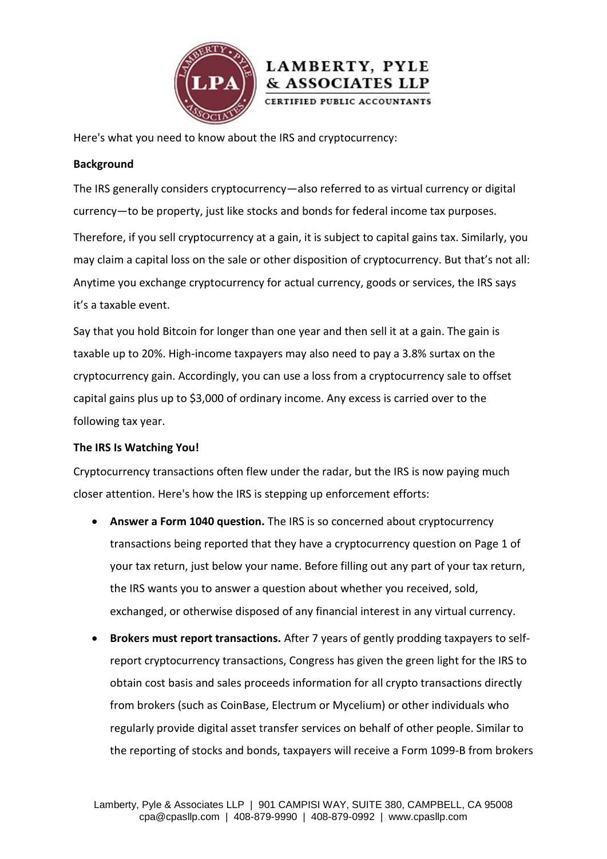

Here's what you need to know about the IRS and cryptocurrency:

## **Background**

The IRS generally considers cryptocurrency—also referred to as virtual currency or digital currency—to be property, just like stocks and bonds for federal income tax purposes.

& ASSOCIATES LLP

Therefore, if you sell cryptocurrency at a gain, it is subject to capital gains tax. Similarly, you may claim a capital loss on the sale or other disposition of cryptocurrency. But that's not all: Anytime you exchange cryptocurrency for actual currency, goods or services, the IRS says it's a taxable event.

Say that you hold Bitcoin for longer than one year and then sell it at a gain. The gain is taxable up to 20%. High-income taxpayers may also need to pay a 3.8% surtax on the cryptocurrency gain. Accordingly, you can use a loss from a cryptocurrency sale to offset capital gains plus up to \$3,000 of ordinary income. Any excess is carried over to the following tax year.

## **The IRS Is Watching You!**

Cryptocurrency transactions often flew under the radar, but the IRS is now paying much closer attention. Here's how the IRS is stepping up enforcement efforts:

- **Answer a Form 1040 question.** The IRS is so concerned about cryptocurrency transactions being reported that they have a cryptocurrency question on Page 1 of your tax return, just below your name. Before filling out any part of your tax return, the IRS wants you to answer a question about whether you received, sold, exchanged, or otherwise disposed of any financial interest in any virtual currency.
- **Brokers must report transactions.** After 7 years of gently prodding taxpayers to selfreport cryptocurrency transactions, Congress has given the green light for the IRS to obtain cost basis and sales proceeds information for all crypto transactions directly from brokers (such as CoinBase, Electrum or Mycelium) or other individuals who regularly provide digital asset transfer services on behalf of other people. Similar to the reporting of stocks and bonds, taxpayers will receive a Form 1099-B from brokers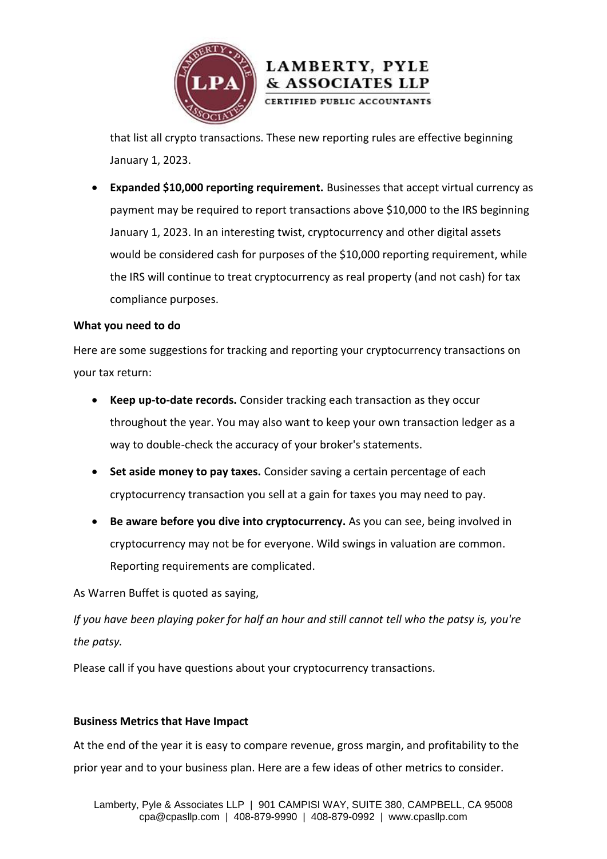

that list all crypto transactions. These new reporting rules are effective beginning January 1, 2023.

 **Expanded \$10,000 reporting requirement.** Businesses that accept virtual currency as payment may be required to report transactions above \$10,000 to the IRS beginning January 1, 2023. In an interesting twist, cryptocurrency and other digital assets would be considered cash for purposes of the \$10,000 reporting requirement, while the IRS will continue to treat cryptocurrency as real property (and not cash) for tax compliance purposes.

## **What you need to do**

Here are some suggestions for tracking and reporting your cryptocurrency transactions on your tax return:

- **Keep up-to-date records.** Consider tracking each transaction as they occur throughout the year. You may also want to keep your own transaction ledger as a way to double-check the accuracy of your broker's statements.
- **Set aside money to pay taxes.** Consider saving a certain percentage of each cryptocurrency transaction you sell at a gain for taxes you may need to pay.
- **Be aware before you dive into cryptocurrency.** As you can see, being involved in cryptocurrency may not be for everyone. Wild swings in valuation are common. Reporting requirements are complicated.

As Warren Buffet is quoted as saying,

*If you have been playing poker for half an hour and still cannot tell who the patsy is, you're the patsy.*

Please call if you have questions about your cryptocurrency transactions.

## **Business Metrics that Have Impact**

At the end of the year it is easy to compare revenue, gross margin, and profitability to the prior year and to your business plan. Here are a few ideas of other metrics to consider.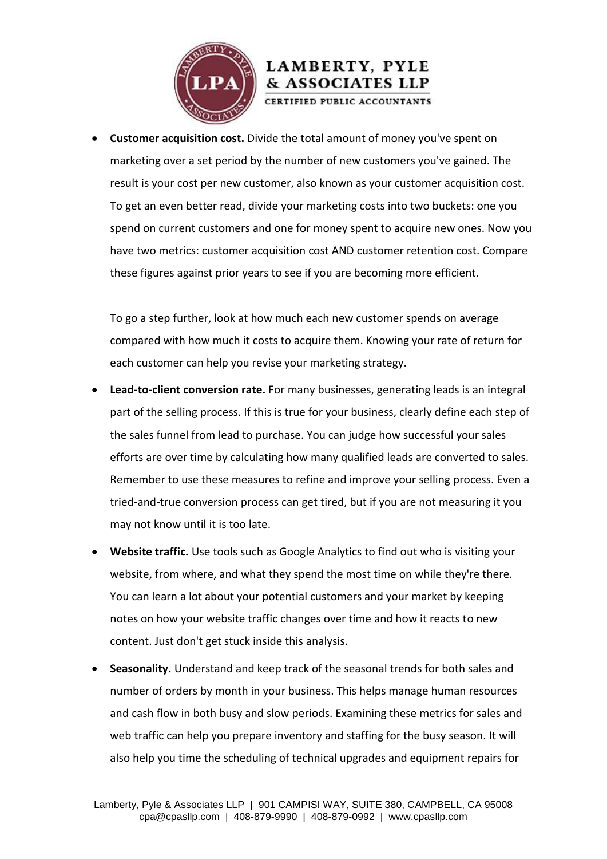

 **Customer acquisition cost.** Divide the total amount of money you've spent on marketing over a set period by the number of new customers you've gained. The result is your cost per new customer, also known as your customer acquisition cost. To get an even better read, divide your marketing costs into two buckets: one you spend on current customers and one for money spent to acquire new ones. Now you have two metrics: customer acquisition cost AND customer retention cost. Compare these figures against prior years to see if you are becoming more efficient.

To go a step further, look at how much each new customer spends on average compared with how much it costs to acquire them. Knowing your rate of return for each customer can help you revise your marketing strategy.

- **Lead-to-client conversion rate.** For many businesses, generating leads is an integral part of the selling process. If this is true for your business, clearly define each step of the sales funnel from lead to purchase. You can judge how successful your sales efforts are over time by calculating how many qualified leads are converted to sales. Remember to use these measures to refine and improve your selling process. Even a tried-and-true conversion process can get tired, but if you are not measuring it you may not know until it is too late.
- **Website traffic.** Use tools such as Google Analytics to find out who is visiting your website, from where, and what they spend the most time on while they're there. You can learn a lot about your potential customers and your market by keeping notes on how your website traffic changes over time and how it reacts to new content. Just don't get stuck inside this analysis.
- **Seasonality.** Understand and keep track of the seasonal trends for both sales and number of orders by month in your business. This helps manage human resources and cash flow in both busy and slow periods. Examining these metrics for sales and web traffic can help you prepare inventory and staffing for the busy season. It will also help you time the scheduling of technical upgrades and equipment repairs for